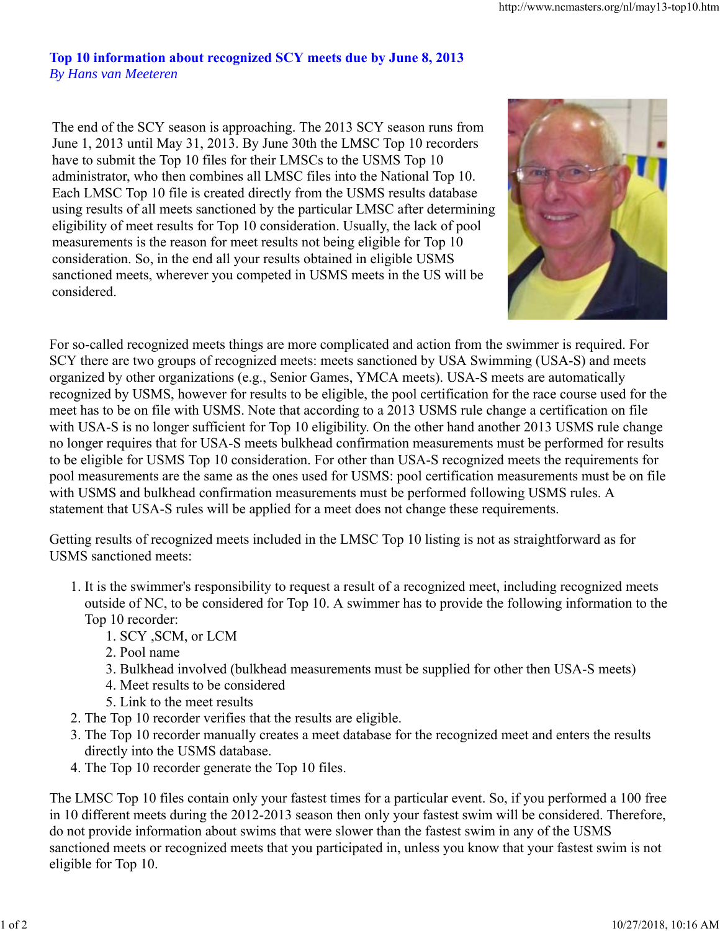## **Top 10 information about recognized SCY meets due by June 8, 2013** *By Hans van Meeteren*

The end of the SCY season is approaching. The 2013 SCY season runs from June 1, 2013 until May 31, 2013. By June 30th the LMSC Top 10 recorders have to submit the Top 10 files for their LMSCs to the USMS Top 10 administrator, who then combines all LMSC files into the National Top 10. Each LMSC Top 10 file is created directly from the USMS results database using results of all meets sanctioned by the particular LMSC after determining eligibility of meet results for Top 10 consideration. Usually, the lack of pool measurements is the reason for meet results not being eligible for Top 10 consideration. So, in the end all your results obtained in eligible USMS sanctioned meets, wherever you competed in USMS meets in the US will be considered.



For so-called recognized meets things are more complicated and action from the swimmer is required. For SCY there are two groups of recognized meets: meets sanctioned by USA Swimming (USA-S) and meets organized by other organizations (e.g., Senior Games, YMCA meets). USA-S meets are automatically recognized by USMS, however for results to be eligible, the pool certification for the race course used for the meet has to be on file with USMS. Note that according to a 2013 USMS rule change a certification on file with USA-S is no longer sufficient for Top 10 eligibility. On the other hand another 2013 USMS rule change no longer requires that for USA-S meets bulkhead confirmation measurements must be performed for results to be eligible for USMS Top 10 consideration. For other than USA-S recognized meets the requirements for pool measurements are the same as the ones used for USMS: pool certification measurements must be on file with USMS and bulkhead confirmation measurements must be performed following USMS rules. A statement that USA-S rules will be applied for a meet does not change these requirements.

Getting results of recognized meets included in the LMSC Top 10 listing is not as straightforward as for USMS sanctioned meets:

- 1. It is the swimmer's responsibility to request a result of a recognized meet, including recognized meets outside of NC, to be considered for Top 10. A swimmer has to provide the following information to the Top 10 recorder:
	- 1. SCY ,SCM, or LCM
	- 2. Pool name
	- 3. Bulkhead involved (bulkhead measurements must be supplied for other then USA-S meets)
	- 4. Meet results to be considered
	- 5. Link to the meet results
- 2. The Top 10 recorder verifies that the results are eligible.
- 3. The Top 10 recorder manually creates a meet database for the recognized meet and enters the results directly into the USMS database.
- 4. The Top 10 recorder generate the Top 10 files.

The LMSC Top 10 files contain only your fastest times for a particular event. So, if you performed a 100 free in 10 different meets during the 2012-2013 season then only your fastest swim will be considered. Therefore, do not provide information about swims that were slower than the fastest swim in any of the USMS sanctioned meets or recognized meets that you participated in, unless you know that your fastest swim is not eligible for Top 10.